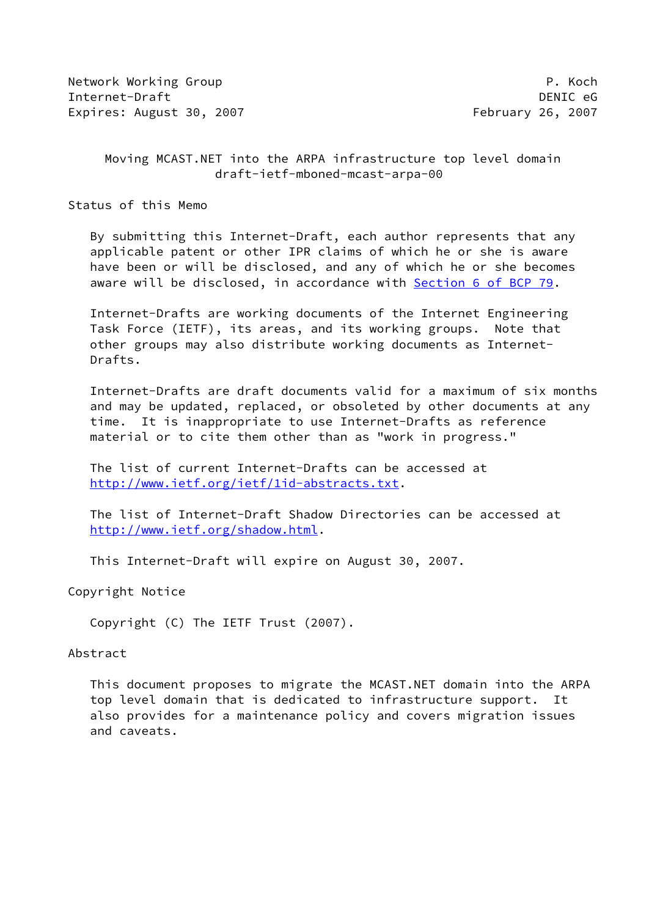Network Working Group **P. Koch** Internet-Draft DENIC eG Expires: August 30, 2007 **February 26, 2007** 

## Moving MCAST.NET into the ARPA infrastructure top level domain draft-ietf-mboned-mcast-arpa-00

Status of this Memo

 By submitting this Internet-Draft, each author represents that any applicable patent or other IPR claims of which he or she is aware have been or will be disclosed, and any of which he or she becomes aware will be disclosed, in accordance with Section [6 of BCP 79.](https://datatracker.ietf.org/doc/pdf/bcp79#section-6)

 Internet-Drafts are working documents of the Internet Engineering Task Force (IETF), its areas, and its working groups. Note that other groups may also distribute working documents as Internet- Drafts.

 Internet-Drafts are draft documents valid for a maximum of six months and may be updated, replaced, or obsoleted by other documents at any time. It is inappropriate to use Internet-Drafts as reference material or to cite them other than as "work in progress."

 The list of current Internet-Drafts can be accessed at <http://www.ietf.org/ietf/1id-abstracts.txt>.

 The list of Internet-Draft Shadow Directories can be accessed at <http://www.ietf.org/shadow.html>.

This Internet-Draft will expire on August 30, 2007.

Copyright Notice

Copyright (C) The IETF Trust (2007).

#### Abstract

 This document proposes to migrate the MCAST.NET domain into the ARPA top level domain that is dedicated to infrastructure support. also provides for a maintenance policy and covers migration issues and caveats.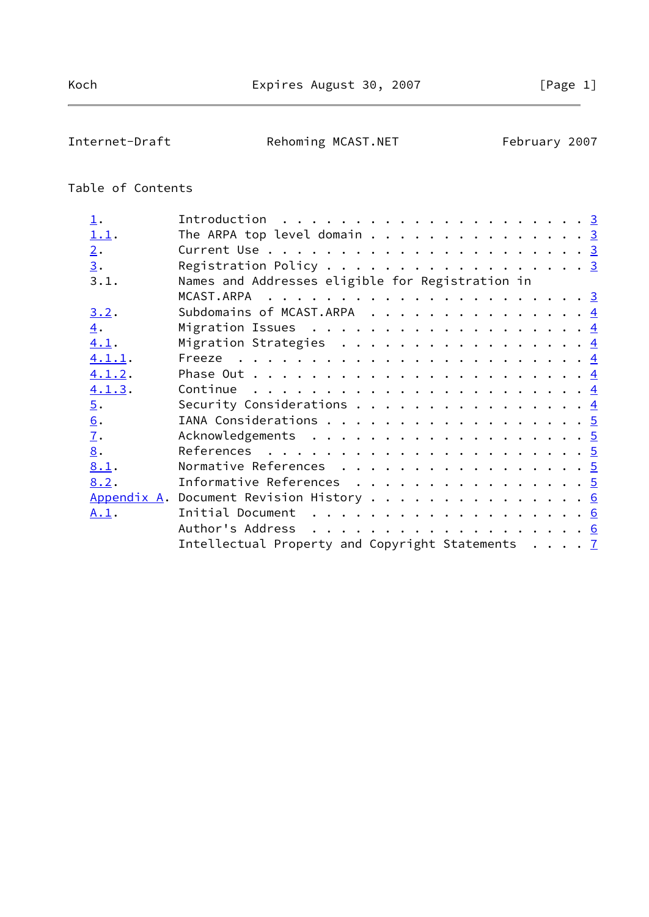Internet-Draft **Rehoming MCAST.NET** February 2007

# Table of Contents

| $\perp$ .         | Introduction $\ldots \ldots \ldots \ldots \ldots \ldots \ldots \frac{3}{2}$ |  |
|-------------------|-----------------------------------------------------------------------------|--|
| 1.1.              | The ARPA top level domain 3                                                 |  |
| 2.                |                                                                             |  |
| $\underline{3}$ . | Registration Policy $\cdots$ 3                                              |  |
| 3.1.              | Names and Addresses eligible for Registration in                            |  |
|                   |                                                                             |  |
| 3.2.              | Subdomains of MCAST.ARPA $\dots \dots \dots \dots \dots \dots$              |  |
| $\overline{4}$ .  |                                                                             |  |
| 4.1.              | Migration Strategies $\frac{4}{5}$                                          |  |
| 4.1.1.            |                                                                             |  |
| 4.1.2.            |                                                                             |  |
| 4.1.3.            | Continue $\dots \dots \dots \dots \dots \dots \dots \dots \dots \dots$      |  |
| $\overline{5}$ .  | Security Considerations $\frac{4}{5}$                                       |  |
| $\underline{6}$ . | IANA Considerations 5                                                       |  |
| $\underline{7}$ . | Acknowledgements 5                                                          |  |
| 8.                |                                                                             |  |
| 8.1.              | Normative References 5                                                      |  |
| 8.2.              | Informative References 5                                                    |  |
|                   | Appendix A. Document Revision History 6                                     |  |
| A.1.              | Initial Document $\ldots \ldots \ldots \ldots \ldots \ldots$                |  |
|                   |                                                                             |  |
|                   | Intellectual Property and Copyright Statements $\ldots$ . T                 |  |
|                   |                                                                             |  |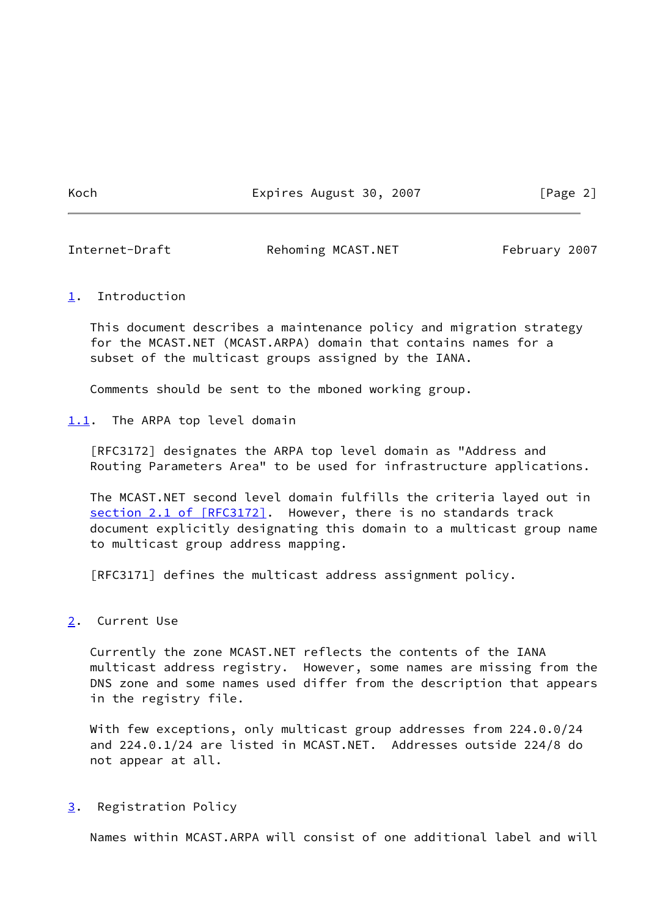Koch **Expires August 30, 2007** [Page 2]

<span id="page-2-1"></span>Internet-Draft Rehoming MCAST.NET February 2007

#### <span id="page-2-0"></span>[1](#page-2-0). Introduction

 This document describes a maintenance policy and migration strategy for the MCAST.NET (MCAST.ARPA) domain that contains names for a subset of the multicast groups assigned by the IANA.

Comments should be sent to the mboned working group.

<span id="page-2-2"></span>[1.1](#page-2-2). The ARPA top level domain

 [RFC3172] designates the ARPA top level domain as "Address and Routing Parameters Area" to be used for infrastructure applications.

 The MCAST.NET second level domain fulfills the criteria layed out in section [2.1 of \[RFC3172\]](https://datatracker.ietf.org/doc/pdf/rfc3172#section-2.1). However, there is no standards track document explicitly designating this domain to a multicast group name to multicast group address mapping.

[RFC3171] defines the multicast address assignment policy.

# <span id="page-2-3"></span>[2](#page-2-3). Current Use

 Currently the zone MCAST.NET reflects the contents of the IANA multicast address registry. However, some names are missing from the DNS zone and some names used differ from the description that appears in the registry file.

 With few exceptions, only multicast group addresses from 224.0.0/24 and 224.0.1/24 are listed in MCAST.NET. Addresses outside 224/8 do not appear at all.

### <span id="page-2-4"></span>[3](#page-2-4). Registration Policy

Names within MCAST.ARPA will consist of one additional label and will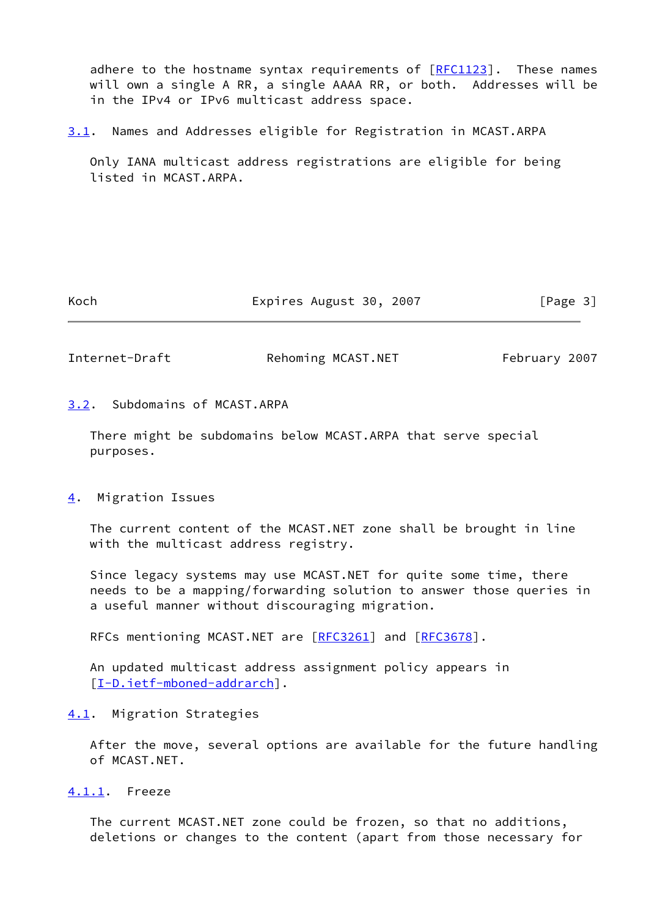adhere to the hostname syntax requirements of  $[REC1123]$ . These names will own a single A RR, a single AAAA RR, or both. Addresses will be in the IPv4 or IPv6 multicast address space.

<span id="page-3-5"></span>[3.1](#page-3-5). Names and Addresses eligible for Registration in MCAST.ARPA

 Only IANA multicast address registrations are eligible for being listed in MCAST.ARPA.

Koch **Expires August 30, 2007** [Page 3]

<span id="page-3-1"></span>Internet-Draft Rehoming MCAST.NET February 2007

### <span id="page-3-0"></span>[3.2](#page-3-0). Subdomains of MCAST.ARPA

 There might be subdomains below MCAST.ARPA that serve special purposes.

### <span id="page-3-2"></span>[4](#page-3-2). Migration Issues

 The current content of the MCAST.NET zone shall be brought in line with the multicast address registry.

 Since legacy systems may use MCAST.NET for quite some time, there needs to be a mapping/forwarding solution to answer those queries in a useful manner without discouraging migration.

RFCs mentioning MCAST.NET are [[RFC3261](https://datatracker.ietf.org/doc/pdf/rfc3261)] and [\[RFC3678](https://datatracker.ietf.org/doc/pdf/rfc3678)].

 An updated multicast address assignment policy appears in [\[I-D.ietf-mboned-addrarch](#page-5-2)].

<span id="page-3-3"></span>[4.1](#page-3-3). Migration Strategies

 After the move, several options are available for the future handling of MCAST.NET.

<span id="page-3-4"></span>[4.1.1](#page-3-4). Freeze

 The current MCAST.NET zone could be frozen, so that no additions, deletions or changes to the content (apart from those necessary for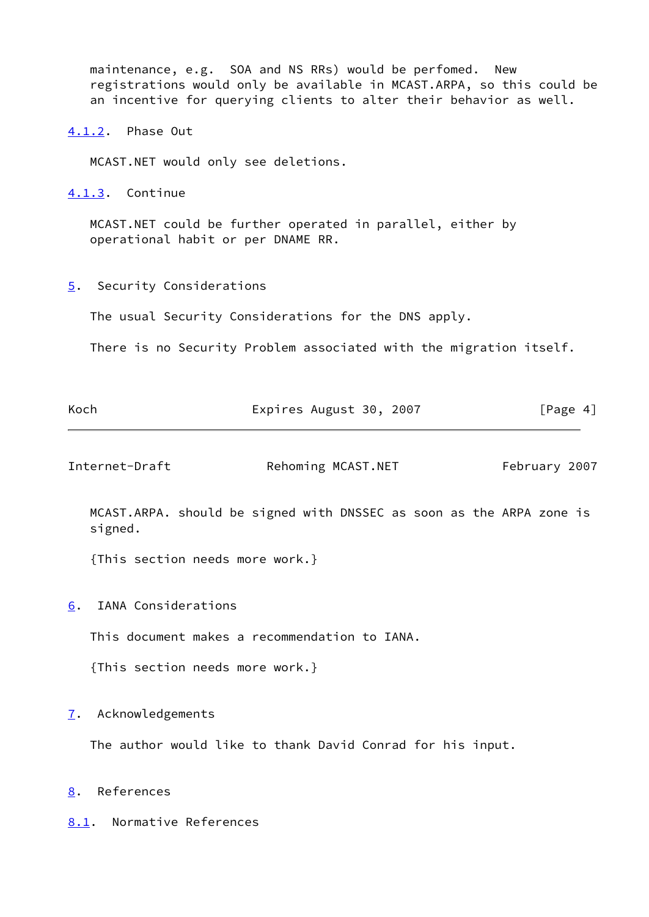maintenance, e.g. SOA and NS RRs) would be perfomed. New registrations would only be available in MCAST.ARPA, so this could be an incentive for querying clients to alter their behavior as well.

<span id="page-4-0"></span>[4.1.2](#page-4-0). Phase Out

MCAST.NET would only see deletions.

<span id="page-4-1"></span>[4.1.3](#page-4-1). Continue

 MCAST.NET could be further operated in parallel, either by operational habit or per DNAME RR.

<span id="page-4-2"></span>[5](#page-4-2). Security Considerations

The usual Security Considerations for the DNS apply.

There is no Security Problem associated with the migration itself.

<span id="page-4-7"></span><span id="page-4-6"></span><span id="page-4-5"></span><span id="page-4-4"></span><span id="page-4-3"></span>

| Koch                            | Expires August 30, 2007                                    | [Page 4]                                                             |
|---------------------------------|------------------------------------------------------------|----------------------------------------------------------------------|
| Internet-Draft                  | Rehoming MCAST.NET                                         | February 2007                                                        |
| signed.                         |                                                            | MCAST.ARPA. should be signed with DNSSEC as soon as the ARPA zone is |
| {This section needs more work.} |                                                            |                                                                      |
| IANA Considerations<br>6.       |                                                            |                                                                      |
|                                 | This document makes a recommendation to IANA.              |                                                                      |
| {This section needs more work.} |                                                            |                                                                      |
| Acknowledgements<br>7.          |                                                            |                                                                      |
|                                 | The author would like to thank David Conrad for his input. |                                                                      |
| References<br>8.                |                                                            |                                                                      |
| 8.1. Normative References       |                                                            |                                                                      |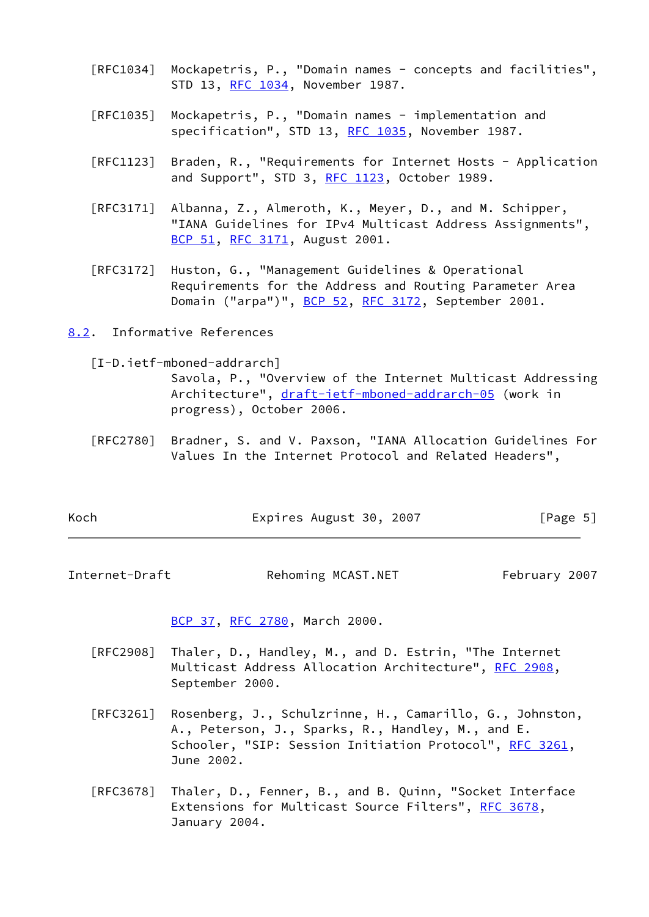- [RFC1034] Mockapetris, P., "Domain names concepts and facilities", STD 13, [RFC 1034,](https://datatracker.ietf.org/doc/pdf/rfc1034) November 1987.
- [RFC1035] Mockapetris, P., "Domain names implementation and specification", STD 13, [RFC 1035,](https://datatracker.ietf.org/doc/pdf/rfc1035) November 1987.
- [RFC1123] Braden, R., "Requirements for Internet Hosts Application and Support", STD 3, [RFC 1123](https://datatracker.ietf.org/doc/pdf/rfc1123), October 1989.
- [RFC3171] Albanna, Z., Almeroth, K., Meyer, D., and M. Schipper, "IANA Guidelines for IPv4 Multicast Address Assignments", [BCP 51](https://datatracker.ietf.org/doc/pdf/bcp51), [RFC 3171,](https://datatracker.ietf.org/doc/pdf/rfc3171) August 2001.
- [RFC3172] Huston, G., "Management Guidelines & Operational Requirements for the Address and Routing Parameter Area Domain ("arpa")", [BCP 52](https://datatracker.ietf.org/doc/pdf/bcp52), [RFC 3172](https://datatracker.ietf.org/doc/pdf/rfc3172), September 2001.
- <span id="page-5-0"></span>[8.2](#page-5-0). Informative References
	- [I-D.ietf-mboned-addrarch]

<span id="page-5-2"></span> Savola, P., "Overview of the Internet Multicast Addressing Architecture", [draft-ietf-mboned-addrarch-05](https://datatracker.ietf.org/doc/pdf/draft-ietf-mboned-addrarch-05) (work in progress), October 2006.

 [RFC2780] Bradner, S. and V. Paxson, "IANA Allocation Guidelines For Values In the Internet Protocol and Related Headers",

| Koch | Expires August 30, 2007 | [Page 5] |
|------|-------------------------|----------|
|------|-------------------------|----------|

<span id="page-5-1"></span>Internet-Draft Rehoming MCAST.NET February 2007

[BCP 37](https://datatracker.ietf.org/doc/pdf/bcp37), [RFC 2780,](https://datatracker.ietf.org/doc/pdf/rfc2780) March 2000.

- [RFC2908] Thaler, D., Handley, M., and D. Estrin, "The Internet Multicast Address Allocation Architecture", [RFC 2908,](https://datatracker.ietf.org/doc/pdf/rfc2908) September 2000.
- [RFC3261] Rosenberg, J., Schulzrinne, H., Camarillo, G., Johnston, A., Peterson, J., Sparks, R., Handley, M., and E. Schooler, "SIP: Session Initiation Protocol", [RFC 3261](https://datatracker.ietf.org/doc/pdf/rfc3261), June 2002.
- [RFC3678] Thaler, D., Fenner, B., and B. Quinn, "Socket Interface Extensions for Multicast Source Filters", [RFC 3678](https://datatracker.ietf.org/doc/pdf/rfc3678), January 2004.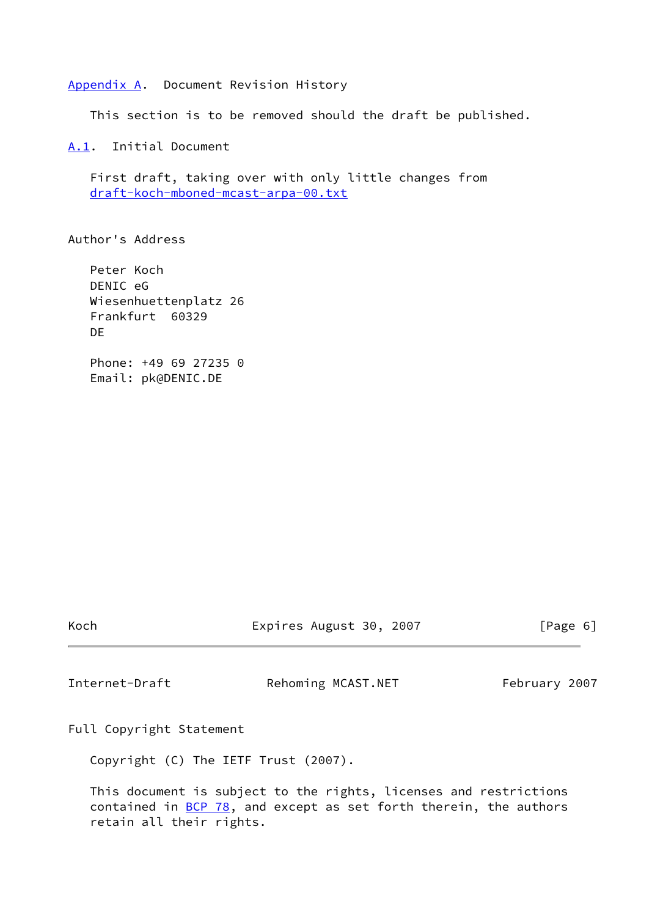<span id="page-6-0"></span>[Appendix A.](#page-6-0) Document Revision History

This section is to be removed should the draft be published.

<span id="page-6-1"></span>[A.1](#page-6-1). Initial Document

 First draft, taking over with only little changes from [draft-koch-mboned-mcast-arpa-00.txt](https://datatracker.ietf.org/doc/pdf/draft-koch-mboned-mcast-arpa-00.txt)

Author's Address

 Peter Koch DENIC eG Wiesenhuettenplatz 26 Frankfurt 60329 D<sub>F</sub> Phone: +49 69 27235 0 Email: pk@DENIC.DE

Koch **Expires August 30, 2007** [Page 6]

<span id="page-6-2"></span>Internet-Draft Rehoming MCAST.NET February 2007

Full Copyright Statement

Copyright (C) The IETF Trust (2007).

 This document is subject to the rights, licenses and restrictions contained in  $\underline{BCP}$  78, and except as set forth therein, the authors retain all their rights.